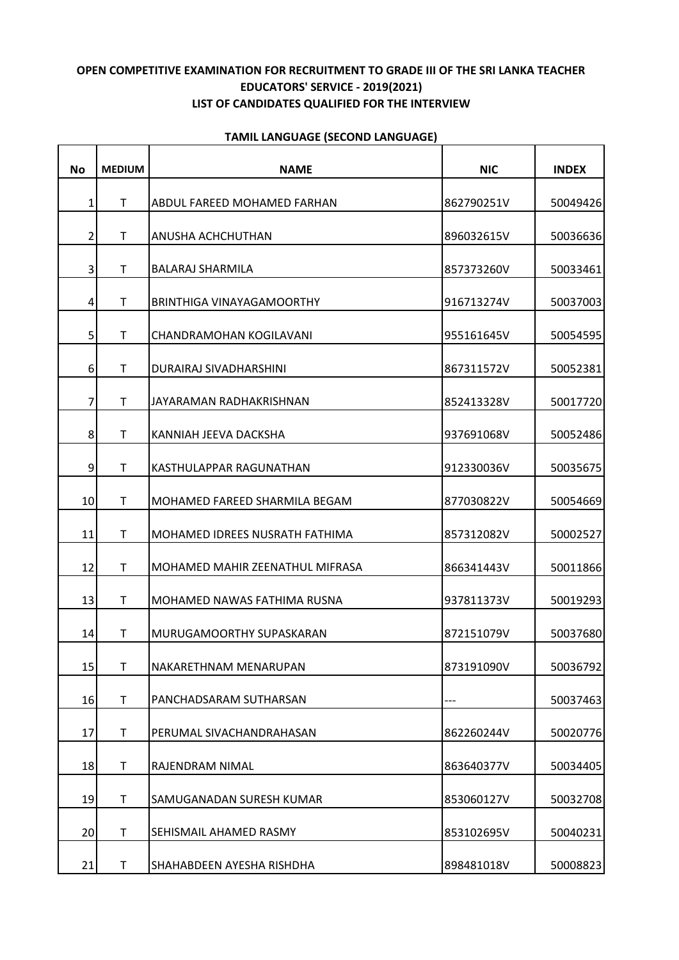## **OPEN COMPETITIVE EXAMINATION FOR RECRUITMENT TO GRADE III OF THE SRI LANKA TEACHER EDUCATORS' SERVICE - 2019(2021) LIST OF CANDIDATES QUALIFIED FOR THE INTERVIEW**

| No             | <b>MEDIUM</b> | <b>NAME</b>                            | <b>NIC</b> | <b>INDEX</b> |
|----------------|---------------|----------------------------------------|------------|--------------|
| 1              | Τ             | ABDUL FAREED MOHAMED FARHAN            | 862790251V | 50049426     |
| $\overline{2}$ | $\mathsf{T}$  | ANUSHA ACHCHUTHAN                      | 896032615V | 50036636     |
| 3              | T.            | <b>BALARAJ SHARMILA</b>                | 857373260V | 50033461     |
| 4              | T             | <b>BRINTHIGA VINAYAGAMOORTHY</b>       | 916713274V | 50037003     |
| 5              | T             | CHANDRAMOHAN KOGILAVANI                | 955161645V | 50054595     |
| 6              | $\mathsf{T}$  | DURAIRAJ SIVADHARSHINI                 | 867311572V | 50052381     |
| 7              | $\mathsf{T}$  | JAYARAMAN RADHAKRISHNAN                | 852413328V | 50017720     |
| 8              | $\mathsf{T}$  | KANNIAH JEEVA DACKSHA                  | 937691068V | 50052486     |
| 9              | $\mathsf{T}$  | KASTHULAPPAR RAGUNATHAN                | 912330036V | 50035675     |
| 10             | T             | MOHAMED FAREED SHARMILA BEGAM          | 877030822V | 50054669     |
| 11             | T.            | MOHAMED IDREES NUSRATH FATHIMA         | 857312082V | 50002527     |
| 12             | $\mathsf{T}$  | <b>MOHAMED MAHIR ZEENATHUL MIFRASA</b> | 866341443V | 50011866     |
| 13             | Τ             | MOHAMED NAWAS FATHIMA RUSNA            | 937811373V | 50019293     |
| 14             | $\mathsf{T}$  | MURUGAMOORTHY SUPASKARAN               | 872151079V | 50037680     |
| 15             | $\mathsf{T}$  | NAKARETHNAM MENARUPAN                  | 873191090V | 50036792     |
| 16             | T.            | PANCHADSARAM SUTHARSAN                 |            | 50037463     |
| 17             | T             | PERUMAL SIVACHANDRAHASAN               | 862260244V | 50020776     |
| 18             | Τ             | RAJENDRAM NIMAL                        | 863640377V | 50034405     |
| 19             | T             | SAMUGANADAN SURESH KUMAR               | 853060127V | 50032708     |
| 20             | T             | SEHISMAIL AHAMED RASMY                 | 853102695V | 50040231     |
| 21             | Τ             | SHAHABDEEN AYESHA RISHDHA              | 898481018V | 50008823     |

## **TAMIL LANGUAGE (SECOND LANGUAGE)**